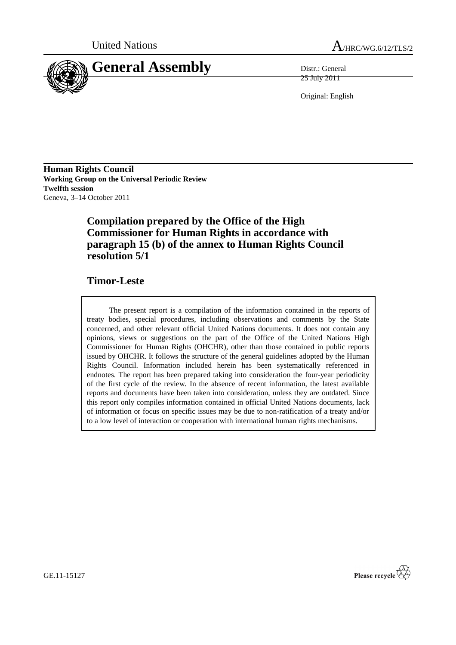



25 July 2011

Original: English

**Human Rights Council Working Group on the Universal Periodic Review Twelfth session** Geneva, 3–14 October 2011

# **Compilation prepared by the Office of the High Commissioner for Human Rights in accordance with paragraph 15 (b) of the annex to Human Rights Council resolution 5/1**

# **Timor-Leste**

The present report is a compilation of the information contained in the reports of treaty bodies, special procedures, including observations and comments by the State concerned, and other relevant official United Nations documents. It does not contain any opinions, views or suggestions on the part of the Office of the United Nations High Commissioner for Human Rights (OHCHR), other than those contained in public reports issued by OHCHR. It follows the structure of the general guidelines adopted by the Human Rights Council. Information included herein has been systematically referenced in endnotes. The report has been prepared taking into consideration the four-year periodicity of the first cycle of the review. In the absence of recent information, the latest available reports and documents have been taken into consideration, unless they are outdated. Since this report only compiles information contained in official United Nations documents, lack of information or focus on specific issues may be due to non-ratification of a treaty and/or to a low level of interaction or cooperation with international human rights mechanisms.



GE.11-15127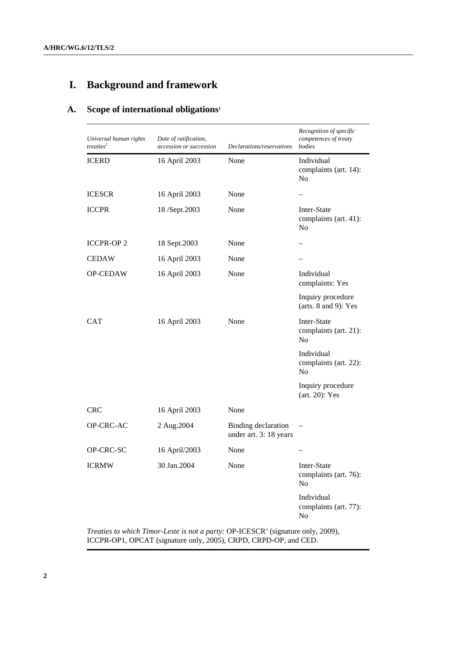# **I. Background and framework**

# **A. Scope of international obligations<sup>1</sup>**

| Universal human rights<br>treaties <sup>2</sup> | Date of ratification,<br>accession or succession | Declarations/reservations                     | Recognition of specific<br>competences of treaty<br>bodies |
|-------------------------------------------------|--------------------------------------------------|-----------------------------------------------|------------------------------------------------------------|
| <b>ICERD</b>                                    | 16 April 2003                                    | None                                          | Individual<br>complaints (art. 14):<br>N <sub>o</sub>      |
| <b>ICESCR</b>                                   | 16 April 2003                                    | None                                          |                                                            |
| <b>ICCPR</b>                                    | 18/Sept.2003                                     | None                                          | Inter-State<br>complaints (art. 41):<br>N <sub>o</sub>     |
| <b>ICCPR-OP2</b>                                | 18 Sept.2003                                     | None                                          |                                                            |
| <b>CEDAW</b>                                    | 16 April 2003                                    | None                                          |                                                            |
| OP-CEDAW                                        | 16 April 2003                                    | None                                          | Individual<br>complaints: Yes                              |
|                                                 |                                                  |                                               | Inquiry procedure<br>(arts. $8$ and $9$ ): Yes             |
| <b>CAT</b>                                      | 16 April 2003                                    | None                                          | Inter-State<br>complaints (art. 21):<br>N <sub>o</sub>     |
|                                                 |                                                  |                                               | Individual<br>complaints (art. 22):<br>No                  |
|                                                 |                                                  |                                               | Inquiry procedure<br>$(art. 20)$ : Yes                     |
| <b>CRC</b>                                      | 16 April 2003                                    | None                                          |                                                            |
| OP-CRC-AC                                       | 2 Aug. 2004                                      | Binding declaration<br>under art. 3: 18 years |                                                            |
| OP-CRC-SC                                       | 16 April/2003                                    | None                                          |                                                            |
| <b>ICRMW</b>                                    | 30 Jan.2004                                      | None                                          | Inter-State<br>complaints (art. 76):<br>N <sub>o</sub>     |
|                                                 |                                                  |                                               | Individual<br>complaints (art. 77):<br>$\rm No$            |
|                                                 |                                                  |                                               |                                                            |

Treaties to which Timor-Leste is not a party: OP-ICESCR<sup>3</sup> (signature only, 2009), ICCPR-OP1, OPCAT (signature only, 2005), CRPD, CRPD-OP, and CED.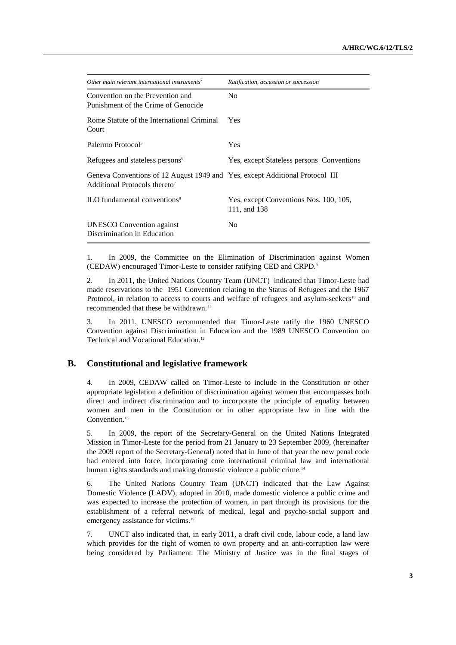| Other main relevant international instruments <sup>4</sup>                                                                | Ratification, accession or succession                  |
|---------------------------------------------------------------------------------------------------------------------------|--------------------------------------------------------|
| Convention on the Prevention and<br>Punishment of the Crime of Genocide                                                   | N <sub>0</sub>                                         |
| Rome Statute of the International Criminal<br>Court                                                                       | Yes                                                    |
| Palermo Protocol <sup>5</sup>                                                                                             | Yes                                                    |
| Refugees and stateless persons <sup>6</sup>                                                                               | Yes, except Stateless persons Conventions              |
| Geneva Conventions of 12 August 1949 and Yes, except Additional Protocol III<br>Additional Protocols thereto <sup>7</sup> |                                                        |
| ILO fundamental conventions <sup>8</sup>                                                                                  | Yes, except Conventions Nos. 100, 105,<br>111, and 138 |
| <b>UNESCO</b> Convention against<br>Discrimination in Education                                                           | No                                                     |

1. In 2009, the Committee on the Elimination of Discrimination against Women (CEDAW) encouraged Timor-Leste to consider ratifying CED and CRPD.<sup>9</sup>

2. In 2011, the United Nations Country Team (UNCT) indicated that Timor-Leste had made reservations to the 1951 Convention relating to the Status of Refugees and the 1967 Protocol, in relation to access to courts and welfare of refugees and asylum-seekers<sup>10</sup> and recommended that these be withdrawn.<sup>11</sup>

3. In 2011, UNESCO recommended that Timor-Leste ratify the 1960 UNESCO Convention against Discrimination in Education and the 1989 UNESCO Convention on Technical and Vocational Education.<sup>12</sup>

#### **B. Constitutional and legislative framework**

4. In 2009, CEDAW called on Timor-Leste to include in the Constitution or other appropriate legislation a definition of discrimination against women that encompasses both direct and indirect discrimination and to incorporate the principle of equality between women and men in the Constitution or in other appropriate law in line with the Convention.<sup>13</sup>

5. In 2009, the report of the Secretary-General on the United Nations Integrated Mission in Timor-Leste for the period from 21 January to 23 September 2009, (hereinafter the 2009 report of the Secretary-General) noted that in June of that year the new penal code had entered into force, incorporating core international criminal law and international human rights standards and making domestic violence a public crime.<sup>14</sup>

6. The United Nations Country Team (UNCT) indicated that the Law Against Domestic Violence (LADV), adopted in 2010, made domestic violence a public crime and was expected to increase the protection of women, in part through its provisions for the establishment of a referral network of medical, legal and psycho-social support and emergency assistance for victims.<sup>15</sup>

7. UNCT also indicated that, in early 2011, a draft civil code, labour code, a land law which provides for the right of women to own property and an anti-corruption law were being considered by Parliament. The Ministry of Justice was in the final stages of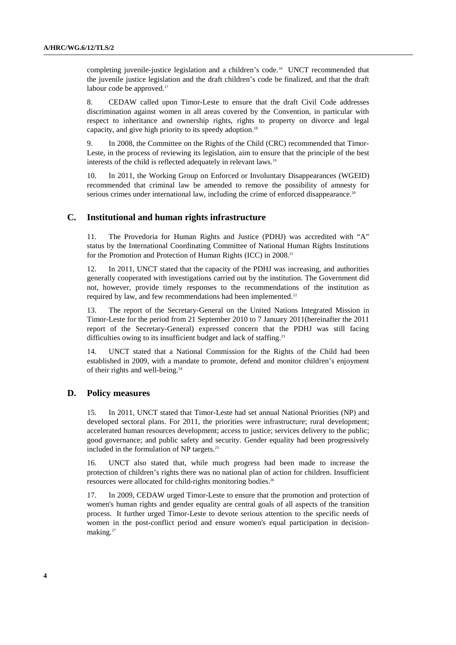completing juvenile-justice legislation and a children's code.16 UNCT recommended that the juvenile justice legislation and the draft children's code be finalized, and that the draft labour code be approved.<sup>17</sup>

8. CEDAW called upon Timor-Leste to ensure that the draft Civil Code addresses discrimination against women in all areas covered by the Convention, in particular with respect to inheritance and ownership rights, rights to property on divorce and legal capacity, and give high priority to its speedy adoption.<sup>18</sup>

9. In 2008, the Committee on the Rights of the Child (CRC) recommended that Timor-Leste, in the process of reviewing its legislation, aim to ensure that the principle of the best interests of the child is reflected adequately in relevant laws.<sup>19</sup>

10. In 2011, the Working Group on Enforced or Involuntary Disappearances (WGEID) recommended that criminal law be amended to remove the possibility of amnesty for serious crimes under international law, including the crime of enforced disappearance.<sup>20</sup>

### **C. Institutional and human rights infrastructure**

11. The Provedoria for Human Rights and Justice (PDHJ) was accredited with "A" status by the International Coordinating Committee of National Human Rights Institutions for the Promotion and Protection of Human Rights (ICC) in 2008.<sup>21</sup>

12. In 2011, UNCT stated that the capacity of the PDHJ was increasing, and authorities generally cooperated with investigations carried out by the institution. The Government did not, however, provide timely responses to the recommendations of the institution as required by law, and few recommendations had been implemented.<sup>22</sup>

13. The report of the Secretary-General on the United Nations Integrated Mission in Timor-Leste for the period from 21 September 2010 to 7 January 2011(hereinafter the 2011 report of the Secretary-General) expressed concern that the PDHJ was still facing difficulties owing to its insufficient budget and lack of staffing.<sup>23</sup>

14. UNCT stated that a National Commission for the Rights of the Child had been established in 2009, with a mandate to promote, defend and monitor children's enjoyment of their rights and well-being.<sup>24</sup>

### **D. Policy measures**

15. In 2011, UNCT stated that Timor-Leste had set annual National Priorities (NP) and developed sectoral plans. For 2011, the priorities were infrastructure; rural development; accelerated human resources development; access to justice; services delivery to the public; good governance; and public safety and security. Gender equality had been progressively included in the formulation of NP targets.<sup>25</sup>

UNCT also stated that, while much progress had been made to increase the protection of children's rights there was no national plan of action for children. Insufficient resources were allocated for child-rights monitoring bodies.<sup>26</sup>

17. In 2009, CEDAW urged Timor-Leste to ensure that the promotion and protection of women's human rights and gender equality are central goals of all aspects of the transition process. It further urged Timor-Leste to devote serious attention to the specific needs of women in the post-conflict period and ensure women's equal participation in decisionmaking.<sup>27</sup>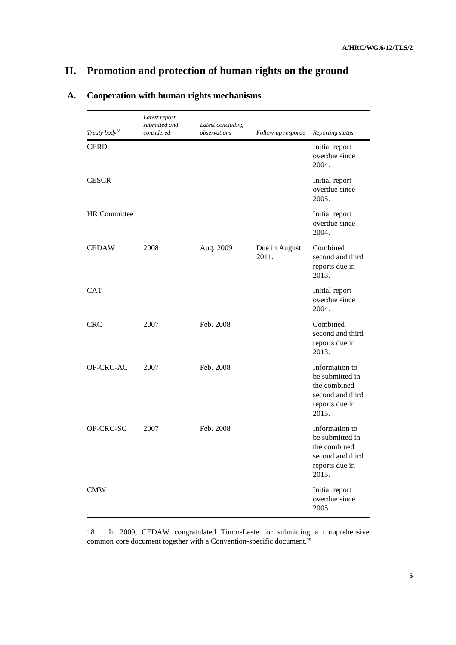# **II. Promotion and protection of human rights on the ground**

|                           | Latest report<br>submitted and | Latest concluding |                        |                                                                                                  |
|---------------------------|--------------------------------|-------------------|------------------------|--------------------------------------------------------------------------------------------------|
| Treaty body <sup>28</sup> | considered                     | observations      | Follow-up response     | Reporting status                                                                                 |
| <b>CERD</b>               |                                |                   |                        | Initial report<br>overdue since<br>2004.                                                         |
| <b>CESCR</b>              |                                |                   |                        | Initial report<br>overdue since<br>2005.                                                         |
| <b>HR</b> Committee       |                                |                   |                        | Initial report<br>overdue since<br>2004.                                                         |
| <b>CEDAW</b>              | 2008                           | Aug. 2009         | Due in August<br>2011. | Combined<br>second and third<br>reports due in<br>2013.                                          |
| <b>CAT</b>                |                                |                   |                        | Initial report<br>overdue since<br>2004.                                                         |
| <b>CRC</b>                | 2007                           | Feb. 2008         |                        | Combined<br>second and third<br>reports due in<br>2013.                                          |
| OP-CRC-AC                 | 2007                           | Feb. 2008         |                        | Information to<br>be submitted in<br>the combined<br>second and third<br>reports due in<br>2013. |
| OP-CRC-SC                 | 2007                           | Feb. 2008         |                        | Information to<br>be submitted in<br>the combined<br>second and third<br>reports due in<br>2013. |
| <b>CMW</b>                |                                |                   |                        | Initial report<br>overdue since<br>2005.                                                         |

# **A. Cooperation with human rights mechanisms**

18. In 2009, CEDAW congratulated Timor-Leste for submitting a comprehensive common core document together with a Convention-specific document.<sup>29</sup>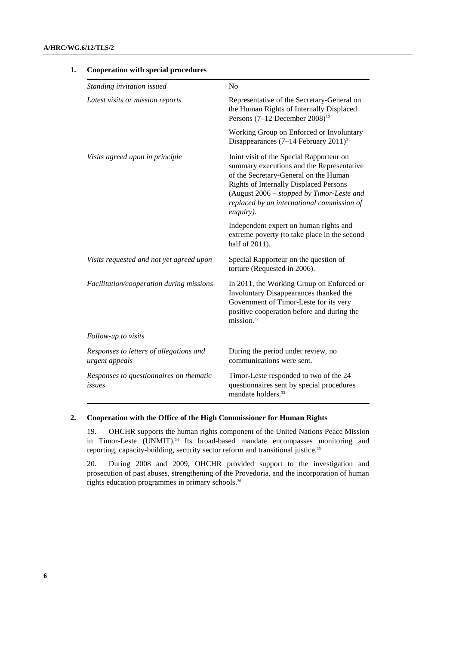| Standing invitation issued                                | N <sub>o</sub>                                                                                                                                                                                                                                                                          |
|-----------------------------------------------------------|-----------------------------------------------------------------------------------------------------------------------------------------------------------------------------------------------------------------------------------------------------------------------------------------|
| Latest visits or mission reports                          | Representative of the Secretary-General on<br>the Human Rights of Internally Displaced<br>Persons $(7-12$ December $2008)$ <sup>30</sup>                                                                                                                                                |
|                                                           | Working Group on Enforced or Involuntary<br>Disappearances $(7-14$ February $2011)^{31}$                                                                                                                                                                                                |
| Visits agreed upon in principle                           | Joint visit of the Special Rapporteur on<br>summary executions and the Representative<br>of the Secretary-General on the Human<br><b>Rights of Internally Displaced Persons</b><br>(August 2006 - stopped by Timor-Leste and<br>replaced by an international commission of<br>enquiry). |
|                                                           | Independent expert on human rights and<br>extreme poverty (to take place in the second<br>half of 2011).                                                                                                                                                                                |
| Visits requested and not yet agreed upon                  | Special Rapporteur on the question of<br>torture (Requested in 2006).                                                                                                                                                                                                                   |
| Facilitation/cooperation during missions                  | In 2011, the Working Group on Enforced or<br>Involuntary Disappearances thanked the<br>Government of Timor-Leste for its very<br>positive cooperation before and during the<br>mission. <sup>32</sup>                                                                                   |
| Follow-up to visits                                       |                                                                                                                                                                                                                                                                                         |
| Responses to letters of allegations and<br>urgent appeals | During the period under review, no<br>communications were sent.                                                                                                                                                                                                                         |
| Responses to questionnaires on thematic<br>issues         | Timor-Leste responded to two of the 24<br>questionnaires sent by special procedures<br>mandate holders. <sup>33</sup>                                                                                                                                                                   |

## **1. Cooperation with special procedures**

### **2. Cooperation with the Office of the High Commissioner for Human Rights**

19. OHCHR supports the human rights component of the United Nations Peace Mission in Timor-Leste (UNMIT).<sup>34</sup> Its broad-based mandate encompasses monitoring and reporting, capacity-building, security sector reform and transitional justice.<sup>35</sup>

20. During 2008 and 2009, OHCHR provided support to the investigation and prosecution of past abuses, strengthening of the Provedoria, and the incorporation of human rights education programmes in primary schools.<sup>36</sup>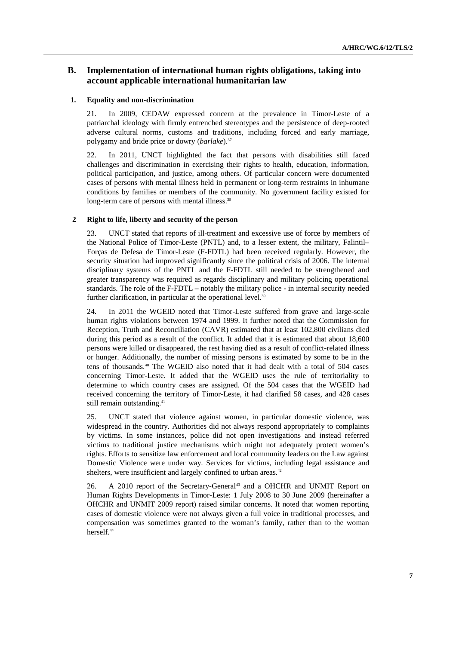## **B. Implementation of international human rights obligations, taking into account applicable international humanitarian law**

#### **1. Equality and non-discrimination**

21. In 2009, CEDAW expressed concern at the prevalence in Timor-Leste of a patriarchal ideology with firmly entrenched stereotypes and the persistence of deep-rooted adverse cultural norms, customs and traditions, including forced and early marriage, polygamy and bride price or dowry (*barlake*).<sup>37</sup>

22. In 2011, UNCT highlighted the fact that persons with disabilities still faced challenges and discrimination in exercising their rights to health, education, information, political participation, and justice, among others. Of particular concern were documented cases of persons with mental illness held in permanent or long-term restraints in inhumane conditions by families or members of the community. No government facility existed for long-term care of persons with mental illness.<sup>38</sup>

#### **2 Right to life, liberty and security of the person**

23. UNCT stated that reports of ill-treatment and excessive use of force by members of the National Police of Timor-Leste (PNTL) and, to a lesser extent, the military, Falintil– Forças de Defesa de Timor-Leste (F-FDTL) had been received regularly. However, the security situation had improved significantly since the political crisis of 2006. The internal disciplinary systems of the PNTL and the F-FDTL still needed to be strengthened and greater transparency was required as regards disciplinary and military policing operational standards. The role of the F-FDTL – notably the military police - in internal security needed further clarification, in particular at the operational level.<sup>39</sup>

24. In 2011 the WGEID noted that Timor-Leste suffered from grave and large-scale human rights violations between 1974 and 1999. It further noted that the Commission for Reception, Truth and Reconciliation (CAVR) estimated that at least 102,800 civilians died during this period as a result of the conflict. It added that it is estimated that about 18,600 persons were killed or disappeared, the rest having died as a result of conflict-related illness or hunger. Additionally, the number of missing persons is estimated by some to be in the tens of thousands.40 The WGEID also noted that it had dealt with a total of 504 cases concerning Timor-Leste. It added that the WGEID uses the rule of territoriality to determine to which country cases are assigned. Of the 504 cases that the WGEID had received concerning the territory of Timor-Leste, it had clarified 58 cases, and 428 cases still remain outstanding.<sup>41</sup>

25. UNCT stated that violence against women, in particular domestic violence, was widespread in the country. Authorities did not always respond appropriately to complaints by victims. In some instances, police did not open investigations and instead referred victims to traditional justice mechanisms which might not adequately protect women's rights. Efforts to sensitize law enforcement and local community leaders on the Law against Domestic Violence were under way. Services for victims, including legal assistance and shelters, were insufficient and largely confined to urban areas.<sup>42</sup>

26. A 2010 report of the Secretary-General<sup>43</sup> and a OHCHR and UNMIT Report on Human Rights Developments in Timor-Leste: 1 July 2008 to 30 June 2009 (hereinafter a OHCHR and UNMIT 2009 report) raised similar concerns. It noted that women reporting cases of domestic violence were not always given a full voice in traditional processes, and compensation was sometimes granted to the woman's family, rather than to the woman herself.<sup>44</sup>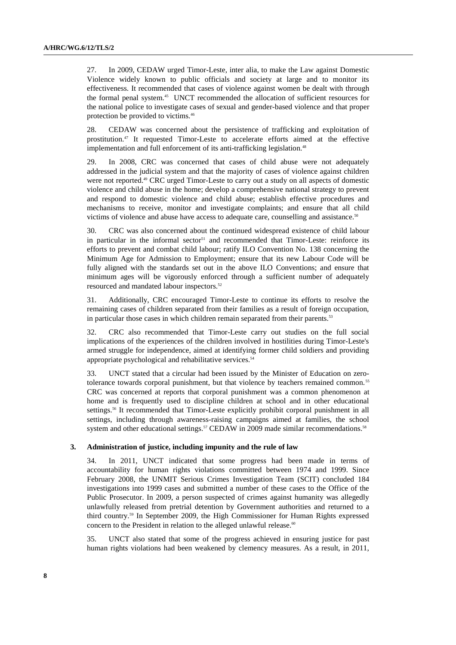27. In 2009, CEDAW urged Timor-Leste, inter alia, to make the Law against Domestic Violence widely known to public officials and society at large and to monitor its effectiveness. It recommended that cases of violence against women be dealt with through the formal penal system.<sup>45</sup> UNCT recommended the allocation of sufficient resources for the national police to investigate cases of sexual and gender-based violence and that proper protection be provided to victims.<sup>46</sup>

28. CEDAW was concerned about the persistence of trafficking and exploitation of prostitution.47 It requested Timor-Leste to accelerate efforts aimed at the effective implementation and full enforcement of its anti-trafficking legislation.<sup>48</sup>

29. In 2008, CRC was concerned that cases of child abuse were not adequately addressed in the judicial system and that the majority of cases of violence against children were not reported.49 CRC urged Timor-Leste to carry out a study on all aspects of domestic violence and child abuse in the home; develop a comprehensive national strategy to prevent and respond to domestic violence and child abuse; establish effective procedures and mechanisms to receive, monitor and investigate complaints; and ensure that all child victims of violence and abuse have access to adequate care, counselling and assistance.<sup>50</sup>

30. CRC was also concerned about the continued widespread existence of child labour in particular in the informal sector<sup>51</sup> and recommended that Timor-Leste: reinforce its efforts to prevent and combat child labour; ratify ILO Convention No. 138 concerning the Minimum Age for Admission to Employment; ensure that its new Labour Code will be fully aligned with the standards set out in the above ILO Conventions; and ensure that minimum ages will be vigorously enforced through a sufficient number of adequately resourced and mandated labour inspectors.<sup>52</sup>

31. Additionally, CRC encouraged Timor-Leste to continue its efforts to resolve the remaining cases of children separated from their families as a result of foreign occupation, in particular those cases in which children remain separated from their parents.<sup>53</sup>

32. CRC also recommended that Timor-Leste carry out studies on the full social implications of the experiences of the children involved in hostilities during Timor-Leste's armed struggle for independence, aimed at identifying former child soldiers and providing appropriate psychological and rehabilitative services.<sup>54</sup>

33. UNCT stated that a circular had been issued by the Minister of Education on zerotolerance towards corporal punishment, but that violence by teachers remained common.<sup>55</sup> CRC was concerned at reports that corporal punishment was a common phenomenon at home and is frequently used to discipline children at school and in other educational settings.56 It recommended that Timor-Leste explicitly prohibit corporal punishment in all settings, including through awareness-raising campaigns aimed at families, the school system and other educational settings.<sup>57</sup> CEDAW in 2009 made similar recommendations.<sup>58</sup>

#### **3. Administration of justice, including impunity and the rule of law**

34. In 2011, UNCT indicated that some progress had been made in terms of accountability for human rights violations committed between 1974 and 1999. Since February 2008, the UNMIT Serious Crimes Investigation Team (SCIT) concluded 184 investigations into 1999 cases and submitted a number of these cases to the Office of the Public Prosecutor. In 2009, a person suspected of crimes against humanity was allegedly unlawfully released from pretrial detention by Government authorities and returned to a third country.59 In September 2009, the High Commissioner for Human Rights expressed concern to the President in relation to the alleged unlawful release.<sup>60</sup>

35. UNCT also stated that some of the progress achieved in ensuring justice for past human rights violations had been weakened by clemency measures. As a result, in 2011,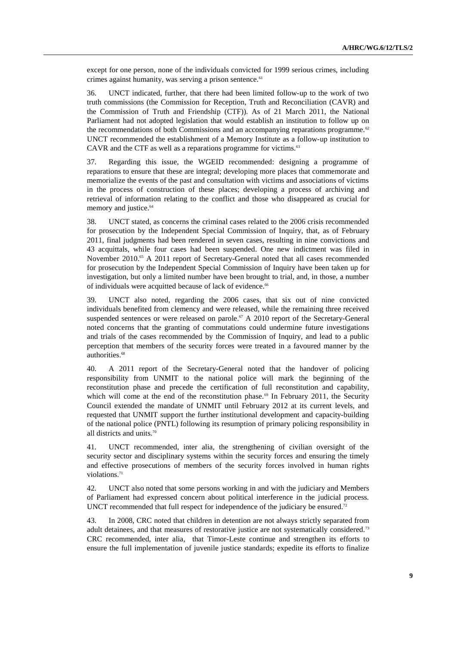except for one person, none of the individuals convicted for 1999 serious crimes, including crimes against humanity, was serving a prison sentence.<sup>61</sup>

36. UNCT indicated, further, that there had been limited follow-up to the work of two truth commissions (the Commission for Reception, Truth and Reconciliation (CAVR) and the Commission of Truth and Friendship (CTF)). As of 21 March 2011, the National Parliament had not adopted legislation that would establish an institution to follow up on the recommendations of both Commissions and an accompanying reparations programme.<sup>62</sup> UNCT recommended the establishment of a Memory Institute as a follow-up institution to CAVR and the CTF as well as a reparations programme for victims.<sup>63</sup>

37. Regarding this issue, the WGEID recommended: designing a programme of reparations to ensure that these are integral; developing more places that commemorate and memorialize the events of the past and consultation with victims and associations of victims in the process of construction of these places; developing a process of archiving and retrieval of information relating to the conflict and those who disappeared as crucial for memory and justice.<sup>64</sup>

38. UNCT stated, as concerns the criminal cases related to the 2006 crisis recommended for prosecution by the Independent Special Commission of Inquiry, that, as of February 2011, final judgments had been rendered in seven cases, resulting in nine convictions and 43 acquittals, while four cases had been suspended. One new indictment was filed in November 2010.<sup>65</sup> A 2011 report of Secretary-General noted that all cases recommended for prosecution by the Independent Special Commission of Inquiry have been taken up for investigation, but only a limited number have been brought to trial, and, in those, a number of individuals were acquitted because of lack of evidence.<sup>66</sup>

39. UNCT also noted, regarding the 2006 cases, that six out of nine convicted individuals benefited from clemency and were released, while the remaining three received suspended sentences or were released on parole.<sup>67</sup> A 2010 report of the Secretary-General noted concerns that the granting of commutations could undermine future investigations and trials of the cases recommended by the Commission of Inquiry, and lead to a public perception that members of the security forces were treated in a favoured manner by the authorities.<sup>68</sup>

40. A 2011 report of the Secretary-General noted that the handover of policing responsibility from UNMIT to the national police will mark the beginning of the reconstitution phase and precede the certification of full reconstitution and capability, which will come at the end of the reconstitution phase.<sup>69</sup> In February 2011, the Security Council extended the mandate of UNMIT until February 2012 at its current levels, and requested that UNMIT support the further institutional development and capacity-building of the national police (PNTL) following its resumption of primary policing responsibility in all districts and units.<sup>70</sup>

41. UNCT recommended, inter alia, the strengthening of civilian oversight of the security sector and disciplinary systems within the security forces and ensuring the timely and effective prosecutions of members of the security forces involved in human rights violations.<sup>71</sup>

42. UNCT also noted that some persons working in and with the judiciary and Members of Parliament had expressed concern about political interference in the judicial process. UNCT recommended that full respect for independence of the judiciary be ensured.<sup>72</sup>

43. In 2008, CRC noted that children in detention are not always strictly separated from adult detainees, and that measures of restorative justice are not systematically considered.<sup>73</sup> CRC recommended, inter alia, that Timor-Leste continue and strengthen its efforts to ensure the full implementation of juvenile justice standards; expedite its efforts to finalize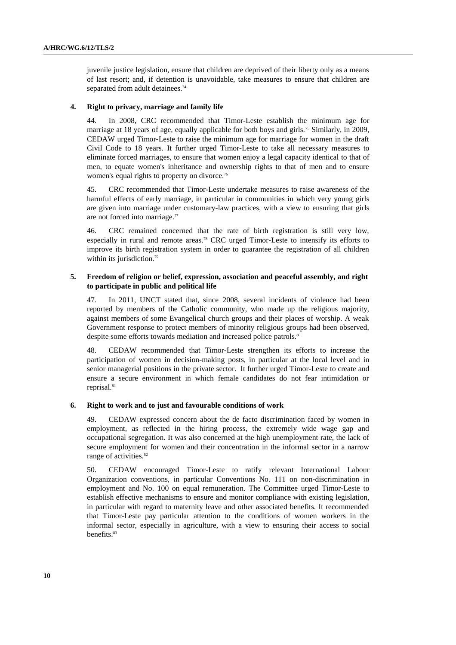juvenile justice legislation, ensure that children are deprived of their liberty only as a means of last resort; and, if detention is unavoidable, take measures to ensure that children are separated from adult detainees.<sup>74</sup>

#### **4. Right to privacy, marriage and family life**

44. In 2008, CRC recommended that Timor-Leste establish the minimum age for marriage at 18 years of age, equally applicable for both boys and girls.<sup>75</sup> Similarly, in 2009, CEDAW urged Timor-Leste to raise the minimum age for marriage for women in the draft Civil Code to 18 years. It further urged Timor-Leste to take all necessary measures to eliminate forced marriages, to ensure that women enjoy a legal capacity identical to that of men, to equate women's inheritance and ownership rights to that of men and to ensure women's equal rights to property on divorce.<sup>76</sup>

45. CRC recommended that Timor-Leste undertake measures to raise awareness of the harmful effects of early marriage, in particular in communities in which very young girls are given into marriage under customary-law practices, with a view to ensuring that girls are not forced into marriage.<sup>77</sup>

46. CRC remained concerned that the rate of birth registration is still very low, especially in rural and remote areas.<sup>78</sup> CRC urged Timor-Leste to intensify its efforts to improve its birth registration system in order to guarantee the registration of all children within its jurisdiction.<sup>79</sup>

#### **5. Freedom of religion or belief, expression, association and peaceful assembly, and right to participate in public and political life**

47. In 2011, UNCT stated that, since 2008, several incidents of violence had been reported by members of the Catholic community, who made up the religious majority, against members of some Evangelical church groups and their places of worship. A weak Government response to protect members of minority religious groups had been observed, despite some efforts towards mediation and increased police patrols.<sup>80</sup>

48. CEDAW recommended that Timor-Leste strengthen its efforts to increase the participation of women in decision-making posts, in particular at the local level and in senior managerial positions in the private sector. It further urged Timor-Leste to create and ensure a secure environment in which female candidates do not fear intimidation or reprisal.<sup>81</sup>

#### **6. Right to work and to just and favourable conditions of work**

49. CEDAW expressed concern about the de facto discrimination faced by women in employment, as reflected in the hiring process, the extremely wide wage gap and occupational segregation. It was also concerned at the high unemployment rate, the lack of secure employment for women and their concentration in the informal sector in a narrow range of activities.<sup>82</sup>

50. CEDAW encouraged Timor-Leste to ratify relevant International Labour Organization conventions, in particular Conventions No. 111 on non-discrimination in employment and No. 100 on equal remuneration. The Committee urged Timor-Leste to establish effective mechanisms to ensure and monitor compliance with existing legislation, in particular with regard to maternity leave and other associated benefits. It recommended that Timor-Leste pay particular attention to the conditions of women workers in the informal sector, especially in agriculture, with a view to ensuring their access to social benefits.<sup>83</sup>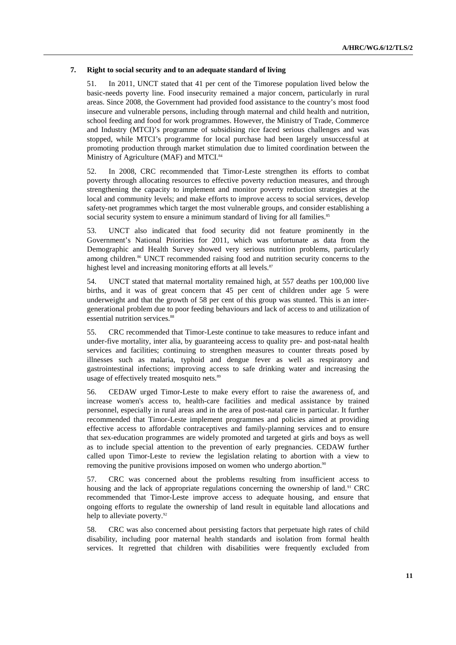#### **7. Right to social security and to an adequate standard of living**

51. In 2011, UNCT stated that 41 per cent of the Timorese population lived below the basic-needs poverty line. Food insecurity remained a major concern, particularly in rural areas. Since 2008, the Government had provided food assistance to the country's most food insecure and vulnerable persons, including through maternal and child health and nutrition, school feeding and food for work programmes. However, the Ministry of Trade, Commerce and Industry (MTCI)'s programme of subsidising rice faced serious challenges and was stopped, while MTCI's programme for local purchase had been largely unsuccessful at promoting production through market stimulation due to limited coordination between the Ministry of Agriculture (MAF) and MTCI.<sup>84</sup>

52. In 2008, CRC recommended that Timor-Leste strengthen its efforts to combat poverty through allocating resources to effective poverty reduction measures, and through strengthening the capacity to implement and monitor poverty reduction strategies at the local and community levels; and make efforts to improve access to social services, develop safety-net programmes which target the most vulnerable groups, and consider establishing a social security system to ensure a minimum standard of living for all families.<sup>85</sup>

53. UNCT also indicated that food security did not feature prominently in the Government's National Priorities for 2011, which was unfortunate as data from the Demographic and Health Survey showed very serious nutrition problems, particularly among children.<sup>86</sup> UNCT recommended raising food and nutrition security concerns to the highest level and increasing monitoring efforts at all levels.<sup>87</sup>

54. UNCT stated that maternal mortality remained high, at 557 deaths per 100,000 live births, and it was of great concern that 45 per cent of children under age 5 were underweight and that the growth of 58 per cent of this group was stunted. This is an intergenerational problem due to poor feeding behaviours and lack of access to and utilization of essential nutrition services.<sup>8</sup>

55. CRC recommended that Timor-Leste continue to take measures to reduce infant and under-five mortality, inter alia, by guaranteeing access to quality pre- and post-natal health services and facilities; continuing to strengthen measures to counter threats posed by illnesses such as malaria, typhoid and dengue fever as well as respiratory and gastrointestinal infections; improving access to safe drinking water and increasing the usage of effectively treated mosquito nets.<sup>89</sup>

56. CEDAW urged Timor-Leste to make every effort to raise the awareness of, and increase women's access to, health-care facilities and medical assistance by trained personnel, especially in rural areas and in the area of post-natal care in particular. It further recommended that Timor-Leste implement programmes and policies aimed at providing effective access to affordable contraceptives and family-planning services and to ensure that sex-education programmes are widely promoted and targeted at girls and boys as well as to include special attention to the prevention of early pregnancies. CEDAW further called upon Timor-Leste to review the legislation relating to abortion with a view to removing the punitive provisions imposed on women who undergo abortion.<sup>90</sup>

57. CRC was concerned about the problems resulting from insufficient access to housing and the lack of appropriate regulations concerning the ownership of land.<sup>91</sup> CRC recommended that Timor-Leste improve access to adequate housing, and ensure that ongoing efforts to regulate the ownership of land result in equitable land allocations and help to alleviate poverty.<sup>92</sup>

58. CRC was also concerned about persisting factors that perpetuate high rates of child disability, including poor maternal health standards and isolation from formal health services. It regretted that children with disabilities were frequently excluded from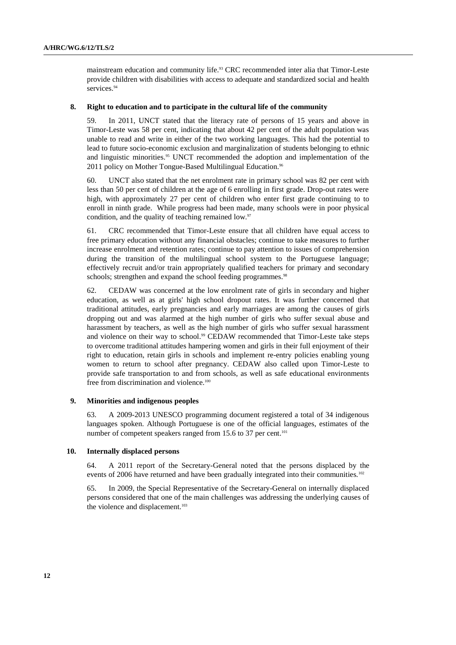mainstream education and community life.93 CRC recommended inter alia that Timor-Leste provide children with disabilities with access to adequate and standardized social and health services.<sup>94</sup>

#### **8. Right to education and to participate in the cultural life of the community**

59. In 2011, UNCT stated that the literacy rate of persons of 15 years and above in Timor-Leste was 58 per cent, indicating that about 42 per cent of the adult population was unable to read and write in either of the two working languages. This had the potential to lead to future socio-economic exclusion and marginalization of students belonging to ethnic and linguistic minorities.95 UNCT recommended the adoption and implementation of the 2011 policy on Mother Tongue-Based Multilingual Education.<sup>96</sup>

60. UNCT also stated that the net enrolment rate in primary school was 82 per cent with less than 50 per cent of children at the age of 6 enrolling in first grade. Drop-out rates were high, with approximately 27 per cent of children who enter first grade continuing to to enroll in ninth grade. While progress had been made, many schools were in poor physical condition, and the quality of teaching remained low.<sup>97</sup>

61. CRC recommended that Timor-Leste ensure that all children have equal access to free primary education without any financial obstacles; continue to take measures to further increase enrolment and retention rates; continue to pay attention to issues of comprehension during the transition of the multilingual school system to the Portuguese language; effectively recruit and/or train appropriately qualified teachers for primary and secondary schools; strengthen and expand the school feeding programmes.<sup>98</sup>

62. CEDAW was concerned at the low enrolment rate of girls in secondary and higher education, as well as at girls' high school dropout rates. It was further concerned that traditional attitudes, early pregnancies and early marriages are among the causes of girls dropping out and was alarmed at the high number of girls who suffer sexual abuse and harassment by teachers, as well as the high number of girls who suffer sexual harassment and violence on their way to school.<sup>99</sup> CEDAW recommended that Timor-Leste take steps to overcome traditional attitudes hampering women and girls in their full enjoyment of their right to education, retain girls in schools and implement re-entry policies enabling young women to return to school after pregnancy. CEDAW also called upon Timor-Leste to provide safe transportation to and from schools, as well as safe educational environments free from discrimination and violence.<sup>100</sup>

#### **9. Minorities and indigenous peoples**

63. A 2009-2013 UNESCO programming document registered a total of 34 indigenous languages spoken. Although Portuguese is one of the official languages, estimates of the number of competent speakers ranged from 15.6 to 37 per cent.<sup>101</sup>

#### **10. Internally displaced persons**

64. A 2011 report of the Secretary-General noted that the persons displaced by the events of 2006 have returned and have been gradually integrated into their communities.<sup>102</sup>

65. In 2009, the Special Representative of the Secretary-General on internally displaced persons considered that one of the main challenges was addressing the underlying causes of the violence and displacement.<sup>103</sup>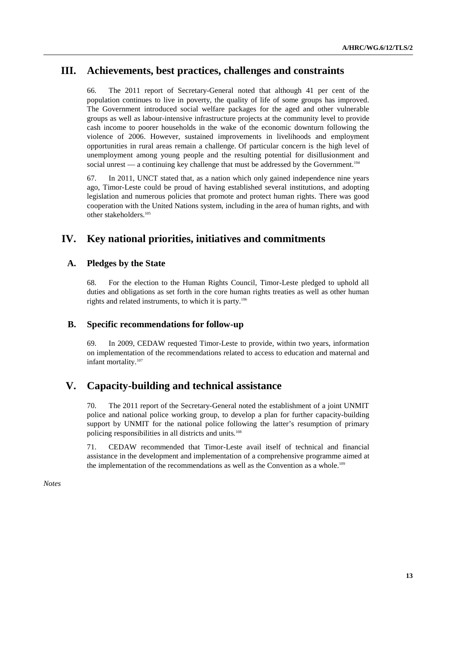## **III. Achievements, best practices, challenges and constraints**

66. The 2011 report of Secretary-General noted that although 41 per cent of the population continues to live in poverty, the quality of life of some groups has improved. The Government introduced social welfare packages for the aged and other vulnerable groups as well as labour-intensive infrastructure projects at the community level to provide cash income to poorer households in the wake of the economic downturn following the violence of 2006. However, sustained improvements in livelihoods and employment opportunities in rural areas remain a challenge. Of particular concern is the high level of unemployment among young people and the resulting potential for disillusionment and social unrest — a continuing key challenge that must be addressed by the Government.<sup>104</sup>

67. In 2011, UNCT stated that, as a nation which only gained independence nine years ago, Timor-Leste could be proud of having established several institutions, and adopting legislation and numerous policies that promote and protect human rights. There was good cooperation with the United Nations system, including in the area of human rights, and with other stakeholders.<sup>105</sup>

# **IV. Key national priorities, initiatives and commitments**

## **A. Pledges by the State**

68. For the election to the Human Rights Council, Timor-Leste pledged to uphold all duties and obligations as set forth in the core human rights treaties as well as other human rights and related instruments, to which it is party.<sup>106</sup>

## **B. Specific recommendations for follow-up**

69. In 2009, CEDAW requested Timor-Leste to provide, within two years, information on implementation of the recommendations related to access to education and maternal and infant mortality.<sup>107</sup>

## **V. Capacity-building and technical assistance**

70. The 2011 report of the Secretary-General noted the establishment of a joint UNMIT police and national police working group, to develop a plan for further capacity-building support by UNMIT for the national police following the latter's resumption of primary policing responsibilities in all districts and units.<sup>108</sup>

71. CEDAW recommended that Timor-Leste avail itself of technical and financial assistance in the development and implementation of a comprehensive programme aimed at the implementation of the recommendations as well as the Convention as a whole.<sup>109</sup>

*Notes*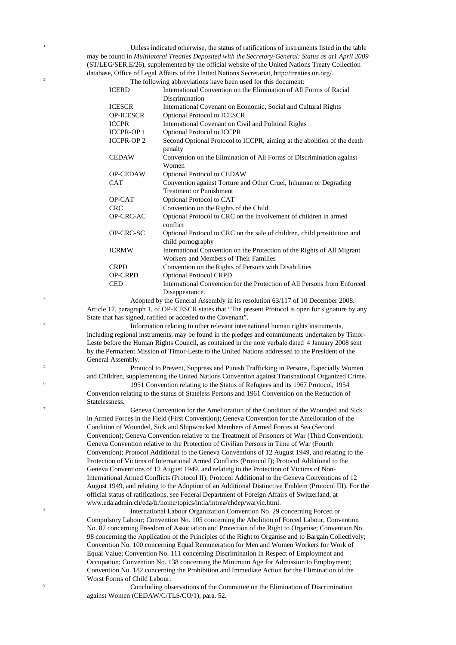<sup>1</sup> Unless indicated otherwise, the status of ratifications of instruments listed in the table may be found in *Multilateral Treaties Deposited with the Secretary-General: Status as at1 April 2009*  (ST/LEG/SER.E/26), supplemented by the official website of the United Nations Treaty Collection database, Office of Legal Affairs of the United Nations Secretariat, http://treaties.un.org/.

<sup>2</sup><br>The following abbreviations have been used for this document:<br>ICERD **International Convention** on the Elimination of All I

| <b>ICERD</b>      | International Convention on the Elimination of All Forms of Racial                 |
|-------------------|------------------------------------------------------------------------------------|
|                   | Discrimination                                                                     |
| <b>ICESCR</b>     | International Covenant on Economic, Social and Cultural Rights                     |
| <b>OP-ICESCR</b>  | <b>Optional Protocol to ICESCR</b>                                                 |
| <b>ICCPR</b>      | International Covenant on Civil and Political Rights                               |
| <b>ICCPR-OP 1</b> | <b>Optional Protocol to ICCPR</b>                                                  |
| <b>ICCPR-OP2</b>  | Second Optional Protocol to ICCPR, aiming at the abolition of the death<br>penalty |
| <b>CEDAW</b>      | Convention on the Elimination of All Forms of Discrimination against<br>Women      |
| <b>OP-CEDAW</b>   | <b>Optional Protocol to CEDAW</b>                                                  |
| <b>CAT</b>        | Convention against Torture and Other Cruel, Inhuman or Degrading                   |
|                   | <b>Treatment or Punishment</b>                                                     |
| OP-CAT            | Optional Protocol to CAT                                                           |
| <b>CRC</b>        | Convention on the Rights of the Child                                              |
| OP-CRC-AC         | Optional Protocol to CRC on the involvement of children in armed<br>conflict       |
| OP-CRC-SC         | Optional Protocol to CRC on the sale of children, child prostitution and           |
|                   | child pornography                                                                  |
| <b>ICRMW</b>      | International Convention on the Protection of the Rights of All Migrant            |
|                   | Workers and Members of Their Families                                              |
| <b>CRPD</b>       | Convention on the Rights of Persons with Disabilities                              |
| OP-CRPD           | <b>Optional Protocol CRPD</b>                                                      |
| <b>CED</b>        | International Convention for the Protection of All Persons from Enforced           |
|                   | Disappearance.                                                                     |

<sup>3</sup> Adopted by the General Assembly in its resolution 63/117 of 10 December 2008. Article 17, paragraph 1, of OP-ICESCR states that "The present Protocol is open for signature by any State that has signed, ratified or acceded to the Covenant".

Information relating to other relevant international human rights instruments, including regional instruments, may be found in the pledges and commitments undertaken by Timor-Leste before the Human Rights Council, as contained in the note verbale dated 4 January 2008 sent by the Permanent Mission of Timor-Leste to the United Nations addressed to the President of the General Assembly.

4

6

8

<sup>5</sup> Protocol to Prevent, Suppress and Punish Trafficking in Persons, Especially Women and Children, supplementing the United Nations Convention against Transnational Organized Crime.

1951 Convention relating to the Status of Refugees and its 1967 Protocol, 1954 Convention relating to the status of Stateless Persons and 1961 Convention on the Reduction of Statelessness.

<sup>7</sup> Geneva Convention for the Amelioration of the Condition of the Wounded and Sick in Armed Forces in the Field (First Convention); Geneva Convention for the Amelioration of the Condition of Wounded, Sick and Shipwrecked Members of Armed Forces at Sea (Second Convention); Geneva Convention relative to the Treatment of Prisoners of War (Third Convention); Geneva Convention relative to the Protection of Civilian Persons in Time of War (Fourth Convention); Protocol Additional to the Geneva Conventions of 12 August 1949, and relating to the Protection of Victims of International Armed Conflicts (Protocol I); Protocol Additional to the Geneva Conventions of 12 August 1949, and relating to the Protection of Victims of Non-International Armed Conflicts (Protocol II); Protocol Additional to the Geneva Conventions of 12 August 1949, and relating to the Adoption of an Additional Distinctive Emblem (Protocol III). For the official status of ratifications, see Federal Department of Foreign Affairs of Switzerland, at www.eda.admin.ch/eda/fr/home/topics/intla/intrea/chdep/warvic.html.

International Labour Organization Convention No. 29 concerning Forced or Compulsory Labour; Convention No. 105 concerning the Abolition of Forced Labour, Convention No. 87 concerning Freedom of Association and Protection of the Right to Organise; Convention No. 98 concerning the Application of the Principles of the Right to Organise and to Bargain Collectively; Convention No. 100 concerning Equal Remuneration for Men and Women Workers for Work of Equal Value; Convention No. 111 concerning Discrimination in Respect of Employment and Occupation; Convention No. 138 concerning the Minimum Age for Admission to Employment; Convention No. 182 concerning the Prohibition and Immediate Action for the Elimination of the Worst Forms of Child Labour.

<sup>9</sup> Concluding observations of the Committee on the Elimination of Discrimination against Women (CEDAW/C/TLS/CO/1), para. 52.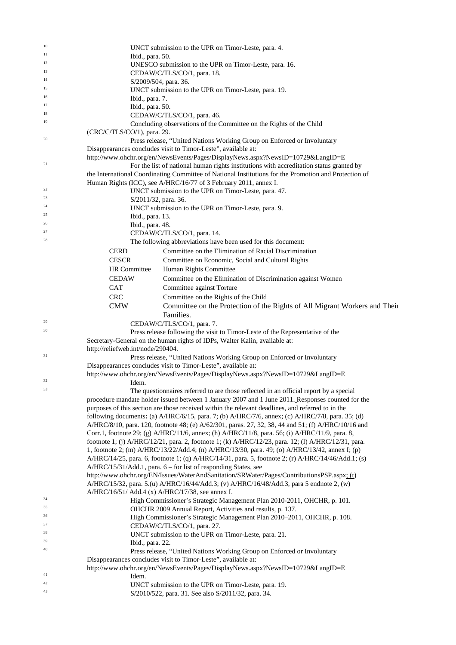| 10       |                                                                         | UNCT submission to the UPR on Timor-Leste, para. 4.                                                                                              |
|----------|-------------------------------------------------------------------------|--------------------------------------------------------------------------------------------------------------------------------------------------|
| 11       | Ibid., para. 50.                                                        |                                                                                                                                                  |
| 12       |                                                                         | UNESCO submission to the UPR on Timor-Leste, para. 16.                                                                                           |
| 13       |                                                                         | CEDAW/C/TLS/CO/1, para. 18.                                                                                                                      |
| 14       | S/2009/504, para. 36.                                                   |                                                                                                                                                  |
| 15       |                                                                         | UNCT submission to the UPR on Timor-Leste, para. 19.                                                                                             |
| 16<br>17 | Ibid., para. 7.                                                         |                                                                                                                                                  |
| 18       | Ibid., para. 50.                                                        |                                                                                                                                                  |
| 19       |                                                                         | CEDAW/C/TLS/CO/1, para. 46.                                                                                                                      |
|          | (CRC/C/TLS/CO/1), para. 29.                                             | Concluding observations of the Committee on the Rights of the Child                                                                              |
| 20       |                                                                         | Press release, "United Nations Working Group on Enforced or Involuntary                                                                          |
|          |                                                                         | Disappearances concludes visit to Timor-Leste", available at:                                                                                    |
|          |                                                                         | http://www.ohchr.org/en/NewsEvents/Pages/DisplayNews.aspx?NewsID=10729&LangID=E                                                                  |
| 21       |                                                                         | For the list of national human rights institutions with accreditation status granted by                                                          |
|          |                                                                         | the International Coordinating Committee of National Institutions for the Promotion and Protection of                                            |
|          |                                                                         | Human Rights (ICC), see A/HRC/16/77 of 3 February 2011, annex I.                                                                                 |
| 22       |                                                                         | UNCT submission to the UPR on Timor-Leste, para. 47.                                                                                             |
| 23       | S/2011/32, para. 36.                                                    |                                                                                                                                                  |
| 24       |                                                                         | UNCT submission to the UPR on Timor-Leste, para. 9.                                                                                              |
| 25       | Ibid., para. 13.                                                        |                                                                                                                                                  |
| 26       | Ibid., para. 48.                                                        |                                                                                                                                                  |
| 27       |                                                                         | CEDAW/C/TLS/CO/1, para. 14.                                                                                                                      |
| 28       |                                                                         | The following abbreviations have been used for this document:                                                                                    |
|          | <b>CERD</b>                                                             | Committee on the Elimination of Racial Discrimination                                                                                            |
|          | <b>CESCR</b>                                                            | Committee on Economic, Social and Cultural Rights                                                                                                |
|          | <b>HR</b> Committee                                                     | Human Rights Committee                                                                                                                           |
|          | <b>CEDAW</b>                                                            | Committee on the Elimination of Discrimination against Women                                                                                     |
|          | <b>CAT</b>                                                              | Committee against Torture                                                                                                                        |
|          | <b>CRC</b>                                                              | Committee on the Rights of the Child                                                                                                             |
|          | <b>CMW</b>                                                              | Committee on the Protection of the Rights of All Migrant Workers and Their                                                                       |
|          |                                                                         | Families.                                                                                                                                        |
| 29       |                                                                         | CEDAW/C/TLS/CO/1, para. 7.                                                                                                                       |
| 30       |                                                                         | Press release following the visit to Timor-Leste of the Representative of the                                                                    |
|          |                                                                         | Secretary-General on the human rights of IDPs, Walter Kalin, available at:                                                                       |
| 31       | http://reliefweb.int/node/290404.                                       |                                                                                                                                                  |
|          |                                                                         | Press release, "United Nations Working Group on Enforced or Involuntary                                                                          |
|          |                                                                         | Disappearances concludes visit to Timor-Leste", available at:<br>http://www.ohchr.org/en/NewsEvents/Pages/DisplayNews.aspx?NewsID=10729&LangID=E |
| 32       | Idem.                                                                   |                                                                                                                                                  |
| 33       |                                                                         | The questionnaires referred to are those reflected in an official report by a special                                                            |
|          |                                                                         | procedure mandate holder issued between 1 January 2007 and 1 June 2011. Responses counted for the                                                |
|          |                                                                         | purposes of this section are those received within the relevant deadlines, and referred to in the                                                |
|          |                                                                         | following documents: (a) A/HRC/6/15, para. 7; (b) A/HRC/7/6, annex; (c) A/HRC/7/8, para. 35; (d)                                                 |
|          |                                                                         | A/HRC/8/10, para. 120, footnote 48; (e) A/62/301, paras. 27, 32, 38, 44 and 51; (f) A/HRC/10/16 and                                              |
|          |                                                                         | Corr.1, footnote 29; (g) A/HRC/11/6, annex; (h) A/HRC/11/8, para. 56; (i) A/HRC/11/9, para. 8,                                                   |
|          |                                                                         | footnote 1; (j) A/HRC/12/21, para. 2, footnote 1; (k) A/HRC/12/23, para. 12; (l) A/HRC/12/31, para.                                              |
|          |                                                                         | 1, footnote 2; (m) A/HRC/13/22/Add.4; (n) A/HRC/13/30, para. 49; (o) A/HRC/13/42, annex I; (p)                                                   |
|          |                                                                         | A/HRC/14/25, para. 6, footnote 1; (q) A/HRC/14/31, para. 5, footnote 2; (r) A/HRC/14/46/Add.1; (s)                                               |
|          |                                                                         | A/HRC/15/31/Add.1, para. 6 – for list of responding States, see                                                                                  |
|          |                                                                         | http://www.ohchr.org/EN/Issues/WaterAndSanitation/SRWater/Pages/ContributionsPSP.aspx; (t)                                                       |
|          |                                                                         | A/HRC/15/32, para. 5.(u) A/HRC/16/44/Add.3; (v) A/HRC/16/48/Add.3, para 5 endnote 2, (w)                                                         |
| 34       | A/HRC/16/51/ Add.4 (x) A/HRC/17/38, see annex I.                        | High Commissioner's Strategic Management Plan 2010-2011, OHCHR, p. 101.                                                                          |
| 35       | OHCHR 2009 Annual Report, Activities and results, p. 137.               |                                                                                                                                                  |
| 36       | High Commissioner's Strategic Management Plan 2010-2011, OHCHR, p. 108. |                                                                                                                                                  |
| 37       | CEDAW/C/TLS/CO/1, para. 27.                                             |                                                                                                                                                  |
| 38       | UNCT submission to the UPR on Timor-Leste, para. 21.                    |                                                                                                                                                  |
| 39       | Ibid., para. 22.                                                        |                                                                                                                                                  |
| 40       |                                                                         | Press release, "United Nations Working Group on Enforced or Involuntary                                                                          |
|          |                                                                         | Disappearances concludes visit to Timor-Leste", available at:                                                                                    |
|          |                                                                         | http://www.ohchr.org/en/NewsEvents/Pages/DisplayNews.aspx?NewsID=10729&LangID=E                                                                  |
| 41       | Idem.                                                                   |                                                                                                                                                  |
| 42       |                                                                         | UNCT submission to the UPR on Timor-Leste, para. 19.                                                                                             |
| 43       |                                                                         | S/2010/522, para. 31. See also S/2011/32, para. 34.                                                                                              |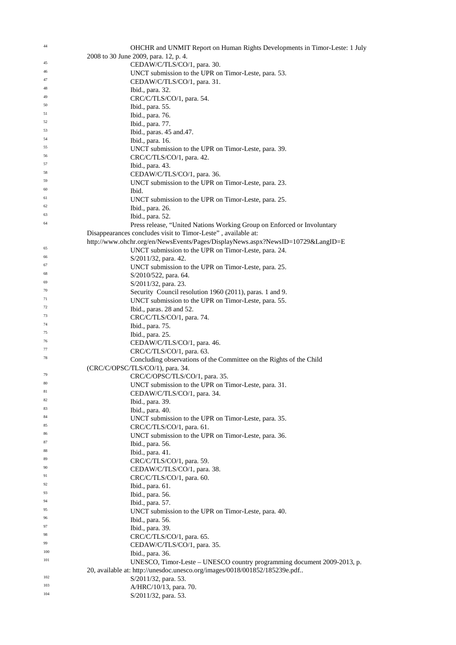| 44       | OHCHR and UNMIT Report on Human Rights Developments in Timor-Leste: 1 July        |
|----------|-----------------------------------------------------------------------------------|
|          | 2008 to 30 June 2009, para. 12, p. 4.                                             |
| 45       | CEDAW/C/TLS/CO/1, para. 30.                                                       |
| 46       | UNCT submission to the UPR on Timor-Leste, para. 53.                              |
| 47       | CEDAW/C/TLS/CO/1, para. 31.                                                       |
| 48       | Ibid., para. 32.                                                                  |
| 49       | CRC/C/TLS/CO/1, para. 54.                                                         |
| 50       | Ibid., para. 55.                                                                  |
| 51       | Ibid., para. 76.                                                                  |
| 52       | Ibid., para. 77.                                                                  |
| 53       | Ibid., paras. 45 and. 47.                                                         |
| 54       | Ibid., para. 16.                                                                  |
| 55<br>56 | UNCT submission to the UPR on Timor-Leste, para. 39.                              |
| 57       | CRC/C/TLS/CO/1, para. 42.                                                         |
| 58       | Ibid., para. 43.                                                                  |
| 59       | CEDAW/C/TLS/CO/1, para. 36.                                                       |
| 60       | UNCT submission to the UPR on Timor-Leste, para. 23.<br>Ibid.                     |
| 61       | UNCT submission to the UPR on Timor-Leste, para. 25.                              |
| 62       | Ibid., para. 26.                                                                  |
| 63       | Ibid., para. 52.                                                                  |
| 64       | Press release, "United Nations Working Group on Enforced or Involuntary           |
|          | Disappearances concludes visit to Timor-Leste", available at:                     |
|          | http://www.ohchr.org/en/NewsEvents/Pages/DisplayNews.aspx?NewsID=10729&LangID=E   |
| 65       | UNCT submission to the UPR on Timor-Leste, para. 24.                              |
| 66       | S/2011/32, para. 42.                                                              |
| 67       | UNCT submission to the UPR on Timor-Leste, para. 25.                              |
| 68       | S/2010/522, para. 64.                                                             |
| 69       | S/2011/32, para. 23.                                                              |
| 70       | Security Council resolution 1960 (2011), paras. 1 and 9.                          |
| 71       | UNCT submission to the UPR on Timor-Leste, para. 55.                              |
| 72       | Ibid., paras. 28 and 52.                                                          |
| 73       | CRC/C/TLS/CO/1, para. 74.                                                         |
| 74       | Ibid., para. 75.                                                                  |
| 75       | Ibid., para. 25.                                                                  |
| 76       | CEDAW/C/TLS/CO/1, para. 46.                                                       |
| 77       | CRC/C/TLS/CO/1, para. 63.                                                         |
| 78       | Concluding observations of the Committee on the Rights of the Child               |
|          | (CRC/C/OPSC/TLS/CO/1), para. 34.                                                  |
| 79<br>80 | CRC/C/OPSC/TLS/CO/1, para. 35.                                                    |
| 81       | UNCT submission to the UPR on Timor-Leste, para. 31.                              |
| 82       | CEDAW/C/TLS/CO/1, para. 34.                                                       |
| 83       | Ibid., para. 39.                                                                  |
| 84       | Ibid., para. 40.                                                                  |
| 85       | UNCT submission to the UPR on Timor-Leste, para. 35.                              |
| 86       | CRC/C/TLS/CO/1, para. 61.<br>UNCT submission to the UPR on Timor-Leste, para. 36. |
| 87       | Ibid., para. 56.                                                                  |
| 88       | Ibid., para. 41.                                                                  |
| 89       | CRC/C/TLS/CO/1, para. 59.                                                         |
| 90       | CEDAW/C/TLS/CO/1, para. 38.                                                       |
| 91       | CRC/C/TLS/CO/1, para. 60.                                                         |
| 92       | Ibid., para. 61.                                                                  |
| 93       | Ibid., para. 56.                                                                  |
| 94       | Ibid., para. 57.                                                                  |
| 95       | UNCT submission to the UPR on Timor-Leste, para. 40.                              |
| 96       | Ibid., para. 56.                                                                  |
| 97       | Ibid., para. 39.                                                                  |
| 98       | $CRC/C/TLS/CO/1$ , para. 65.                                                      |
| 99       | CEDAW/C/TLS/CO/1, para. 35.                                                       |
| 100      | Ibid., para. 36.                                                                  |
| 101      | UNESCO, Timor-Leste – UNESCO country programming document $2009-2013$ , p.        |
|          | 20, available at: http://unesdoc.unesco.org/images/0018/001852/185239e.pdf        |
| 102      | S/2011/32, para. 53.                                                              |
| 103      | A/HRC/10/13, para. 70.                                                            |
| 104      | S/2011/32, para. 53.                                                              |